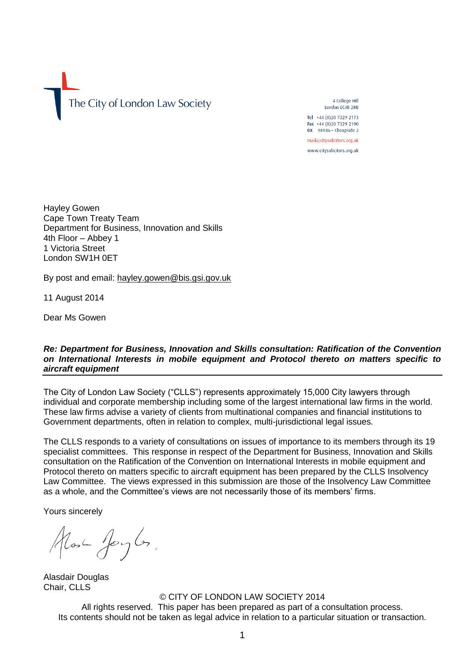The City of London Law Society

4 College Hill London EC4R 2RB Tel +44 (0)20 7329 2173 Fax +44 (0)20 7329 2190 DX 98936 - Cheapside 2 mail@citysolicitors.org.uk

www.citysolicitors.org.uk

Hayley Gowen Cape Town Treaty Team Department for Business, Innovation and Skills 4th Floor – Abbey 1 1 Victoria Street London SW1H 0ET

By post and email: [hayley.gowen@bis.gsi.gov.uk](mailto:hayley.gowen@bis.gsi.gov.uk)

11 August 2014

Dear Ms Gowen

*Re: Department for Business, Innovation and Skills consultation: Ratification of the Convention on International Interests in mobile equipment and Protocol thereto on matters specific to aircraft equipment*

The City of London Law Society ("CLLS") represents approximately 15,000 City lawyers through individual and corporate membership including some of the largest international law firms in the world. These law firms advise a variety of clients from multinational companies and financial institutions to Government departments, often in relation to complex, multi-jurisdictional legal issues.

The CLLS responds to a variety of consultations on issues of importance to its members through its 19 specialist committees. This response in respect of the Department for Business, Innovation and Skills consultation on the Ratification of the Convention on International Interests in mobile equipment and Protocol thereto on matters specific to aircraft equipment has been prepared by the CLLS Insolvency Law Committee. The views expressed in this submission are those of the Insolvency Law Committee as a whole, and the Committee's views are not necessarily those of its members' firms.

Yours sincerely

Most Joyles,

Alasdair Douglas Chair, CLLS

© CITY OF LONDON LAW SOCIETY 2014 All rights reserved. This paper has been prepared as part of a consultation process. Its contents should not be taken as legal advice in relation to a particular situation or transaction.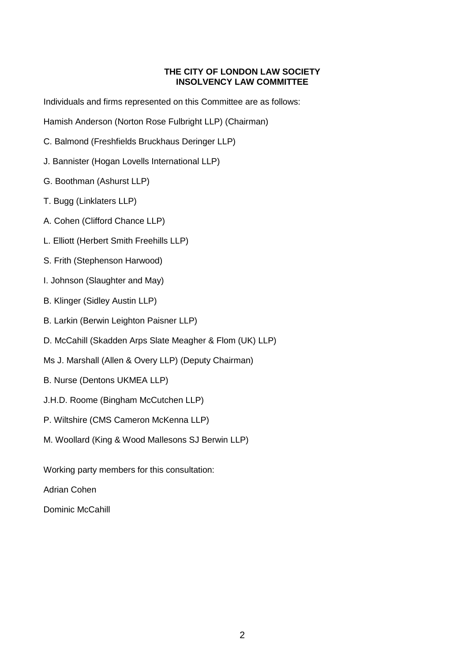#### **THE CITY OF LONDON LAW SOCIETY INSOLVENCY LAW COMMITTEE**

Individuals and firms represented on this Committee are as follows:

Hamish Anderson (Norton Rose Fulbright LLP) (Chairman)

- C. Balmond (Freshfields Bruckhaus Deringer LLP)
- J. Bannister (Hogan Lovells International LLP)
- G. Boothman (Ashurst LLP)
- T. Bugg (Linklaters LLP)
- A. Cohen (Clifford Chance LLP)
- L. Elliott (Herbert Smith Freehills LLP)
- S. Frith (Stephenson Harwood)
- I. Johnson (Slaughter and May)
- B. Klinger (Sidley Austin LLP)
- B. Larkin (Berwin Leighton Paisner LLP)
- D. McCahill (Skadden Arps Slate Meagher & Flom (UK) LLP)
- Ms J. Marshall (Allen & Overy LLP) (Deputy Chairman)
- B. Nurse (Dentons UKMEA LLP)
- J.H.D. Roome (Bingham McCutchen LLP)
- P. Wiltshire (CMS Cameron McKenna LLP)
- M. Woollard (King & Wood Mallesons SJ Berwin LLP)

Working party members for this consultation:

Adrian Cohen

Dominic McCahill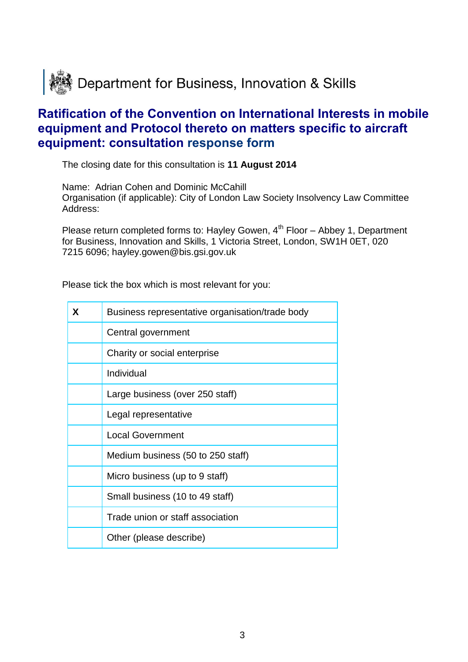

# **Ratification of the Convention on International Interests in mobile equipment and Protocol thereto on matters specific to aircraft equipment: consultation response form**

The closing date for this consultation is **11 August 2014**

Name: Adrian Cohen and Dominic McCahill Organisation (if applicable): City of London Law Society Insolvency Law Committee Address:

Please return completed forms to: Hayley Gowen,  $4<sup>th</sup>$  Floor – Abbey 1, Department for Business, Innovation and Skills, 1 Victoria Street, London, SW1H 0ET, 020 7215 6096; hayley.gowen@bis.gsi.gov.uk

Please tick the box which is most relevant for you:

| X | Business representative organisation/trade body |  |  |
|---|-------------------------------------------------|--|--|
|   | Central government                              |  |  |
|   | Charity or social enterprise                    |  |  |
|   | Individual                                      |  |  |
|   | Large business (over 250 staff)                 |  |  |
|   | Legal representative                            |  |  |
|   | <b>Local Government</b>                         |  |  |
|   | Medium business (50 to 250 staff)               |  |  |
|   | Micro business (up to 9 staff)                  |  |  |
|   | Small business (10 to 49 staff)                 |  |  |
|   | Trade union or staff association                |  |  |
|   | Other (please describe)                         |  |  |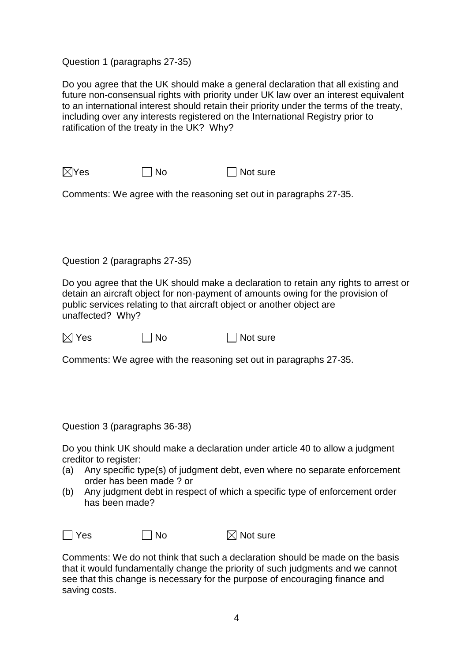Question 1 (paragraphs 27-35)

Do you agree that the UK should make a general declaration that all existing and future non-consensual rights with priority under UK law over an interest equivalent to an international interest should retain their priority under the terms of the treaty, including over any interests registered on the International Registry prior to ratification of the treaty in the UK? Why?

 $\boxtimes$ Yes  $\Box$  No  $\Box$  Not sure

Comments: We agree with the reasoning set out in paragraphs 27-35.

Question 2 (paragraphs 27-35)

Do you agree that the UK should make a declaration to retain any rights to arrest or detain an aircraft object for non-payment of amounts owing for the provision of public services relating to that aircraft object or another object are unaffected? Why?

 $\boxtimes$  Yes  $\Box$  No  $\Box$  Not sure

Comments: We agree with the reasoning set out in paragraphs 27-35.

Question 3 (paragraphs 36-38)

Do you think UK should make a declaration under article 40 to allow a judgment creditor to register:

- (a) Any specific type(s) of judgment debt, even where no separate enforcement order has been made ? or
- (b) Any judgment debt in respect of which a specific type of enforcement order has been made?

 $\Box$  Yes  $\Box$  No  $\boxtimes$  Not sure

Comments: We do not think that such a declaration should be made on the basis that it would fundamentally change the priority of such judgments and we cannot see that this change is necessary for the purpose of encouraging finance and saving costs.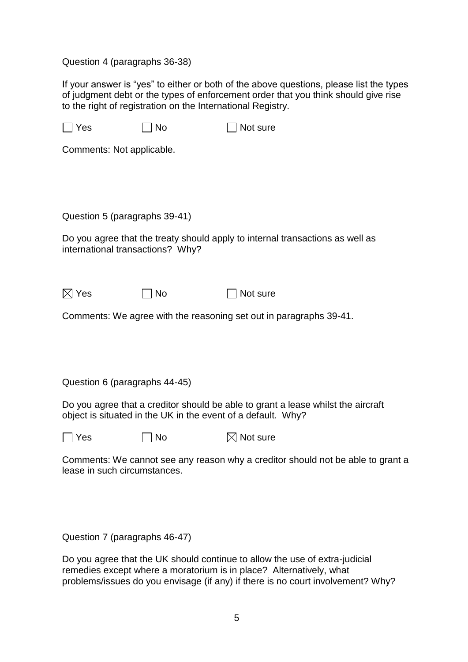### Question 4 (paragraphs 36-38)

If your answer is "yes" to either or both of the above questions, please list the types of judgment debt or the types of enforcement order that you think should give rise to the right of registration on the International Registry.

| $\Box$ Yes                       | <b>No</b> | Not sure                                                                                                                                         |
|----------------------------------|-----------|--------------------------------------------------------------------------------------------------------------------------------------------------|
| Comments: Not applicable.        |           |                                                                                                                                                  |
|                                  |           |                                                                                                                                                  |
|                                  |           |                                                                                                                                                  |
| Question 5 (paragraphs 39-41)    |           |                                                                                                                                                  |
| international transactions? Why? |           | Do you agree that the treaty should apply to internal transactions as well as                                                                    |
| $\boxtimes$ Yes                  | <b>No</b> | Not sure                                                                                                                                         |
|                                  |           | Comments: We agree with the reasoning set out in paragraphs 39-41.                                                                               |
|                                  |           |                                                                                                                                                  |
|                                  |           |                                                                                                                                                  |
| Question 6 (paragraphs 44-45)    |           |                                                                                                                                                  |
|                                  |           | Do you agree that a creditor should be able to grant a lease whilst the aircraft<br>object is situated in the UK in the event of a default. Why? |
| Yes                              | No        | $\boxtimes$ Not sure                                                                                                                             |
| lease in such circumstances.     |           | Comments: We cannot see any reason why a creditor should not be able to grant a                                                                  |
|                                  |           |                                                                                                                                                  |
|                                  |           |                                                                                                                                                  |

Question 7 (paragraphs 46-47)

Do you agree that the UK should continue to allow the use of extra-judicial remedies except where a moratorium is in place? Alternatively, what problems/issues do you envisage (if any) if there is no court involvement? Why?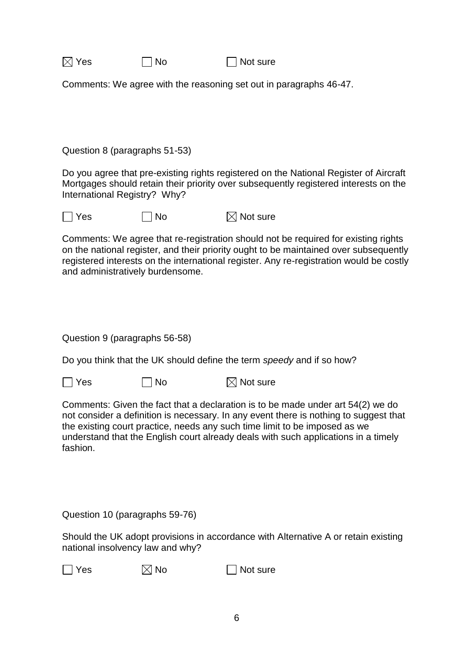| $\boxtimes$ Yes | $\Box$ No | $\Box$ Not sure |
|-----------------|-----------|-----------------|
|-----------------|-----------|-----------------|

Comments: We agree with the reasoning set out in paragraphs 46-47.

Question 8 (paragraphs 51-53)

Do you agree that pre-existing rights registered on the National Register of Aircraft Mortgages should retain their priority over subsequently registered interests on the International Registry? Why?

 $\Box$  Yes  $\Box$  No  $\boxtimes$  Not sure

Comments: We agree that re-registration should not be required for existing rights on the national register, and their priority ought to be maintained over subsequently registered interests on the international register. Any re-registration would be costly and administratively burdensome.

Question 9 (paragraphs 56-58)

Do you think that the UK should define the term *speedy* and if so how?

 $\Box$  Yes  $\Box$  No  $\boxtimes$  Not sure

Comments: Given the fact that a declaration is to be made under art 54(2) we do not consider a definition is necessary. In any event there is nothing to suggest that the existing court practice, needs any such time limit to be imposed as we understand that the English court already deals with such applications in a timely fashion.

Question 10 (paragraphs 59-76)

Should the UK adopt provisions in accordance with Alternative A or retain existing national insolvency law and why?

 $\Box$  Yes  $\boxtimes$  No  $\Box$  Not sure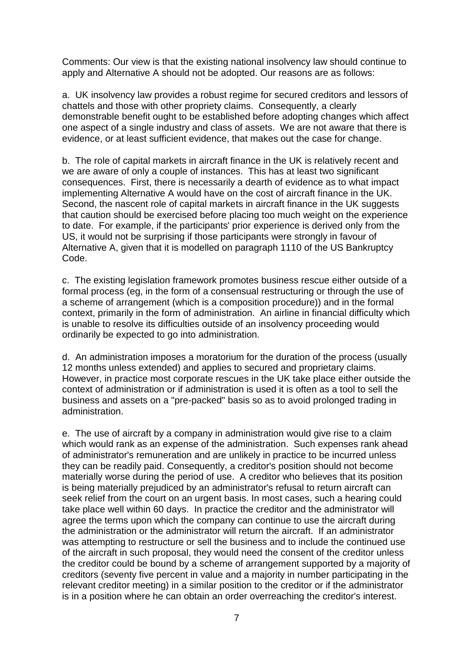Comments: Our view is that the existing national insolvency law should continue to apply and Alternative A should not be adopted. Our reasons are as follows:

a. UK insolvency law provides a robust regime for secured creditors and lessors of chattels and those with other propriety claims. Consequently, a clearly demonstrable benefit ought to be established before adopting changes which affect one aspect of a single industry and class of assets. We are not aware that there is evidence, or at least sufficient evidence, that makes out the case for change.

b. The role of capital markets in aircraft finance in the UK is relatively recent and we are aware of only a couple of instances. This has at least two significant consequences. First, there is necessarily a dearth of evidence as to what impact implementing Alternative A would have on the cost of aircraft finance in the UK. Second, the nascent role of capital markets in aircraft finance in the UK suggests that caution should be exercised before placing too much weight on the experience to date. For example, if the participants' prior experience is derived only from the US, it would not be surprising if those participants were strongly in favour of Alternative A, given that it is modelled on paragraph 1110 of the US Bankruptcy Code.

c. The existing legislation framework promotes business rescue either outside of a formal process (eg, in the form of a consensual restructuring or through the use of a scheme of arrangement (which is a composition procedure)) and in the formal context, primarily in the form of administration. An airline in financial difficulty which is unable to resolve its difficulties outside of an insolvency proceeding would ordinarily be expected to go into administration.

d. An administration imposes a moratorium for the duration of the process (usually 12 months unless extended) and applies to secured and proprietary claims. However, in practice most corporate rescues in the UK take place either outside the context of administration or if administration is used it is often as a tool to sell the business and assets on a "pre-packed" basis so as to avoid prolonged trading in administration.

e. The use of aircraft by a company in administration would give rise to a claim which would rank as an expense of the administration. Such expenses rank ahead of administrator's remuneration and are unlikely in practice to be incurred unless they can be readily paid. Consequently, a creditor's position should not become materially worse during the period of use. A creditor who believes that its position is being materially prejudiced by an administrator's refusal to return aircraft can seek relief from the court on an urgent basis. In most cases, such a hearing could take place well within 60 days. In practice the creditor and the administrator will agree the terms upon which the company can continue to use the aircraft during the administration or the administrator will return the aircraft. If an administrator was attempting to restructure or sell the business and to include the continued use of the aircraft in such proposal, they would need the consent of the creditor unless the creditor could be bound by a scheme of arrangement supported by a majority of creditors (seventy five percent in value and a majority in number participating in the relevant creditor meeting) in a similar position to the creditor or if the administrator is in a position where he can obtain an order overreaching the creditor's interest.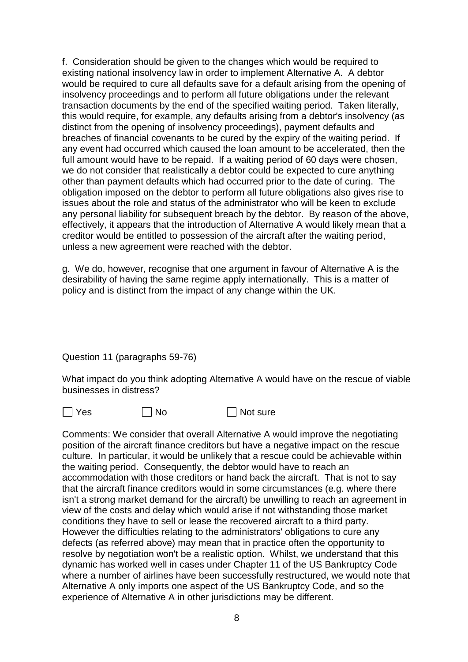f. Consideration should be given to the changes which would be required to existing national insolvency law in order to implement Alternative A. A debtor would be required to cure all defaults save for a default arising from the opening of insolvency proceedings and to perform all future obligations under the relevant transaction documents by the end of the specified waiting period. Taken literally, this would require, for example, any defaults arising from a debtor's insolvency (as distinct from the opening of insolvency proceedings), payment defaults and breaches of financial covenants to be cured by the expiry of the waiting period. If any event had occurred which caused the loan amount to be accelerated, then the full amount would have to be repaid. If a waiting period of 60 days were chosen, we do not consider that realistically a debtor could be expected to cure anything other than payment defaults which had occurred prior to the date of curing. The obligation imposed on the debtor to perform all future obligations also gives rise to issues about the role and status of the administrator who will be keen to exclude any personal liability for subsequent breach by the debtor. By reason of the above, effectively, it appears that the introduction of Alternative A would likely mean that a creditor would be entitled to possession of the aircraft after the waiting period, unless a new agreement were reached with the debtor.

g. We do, however, recognise that one argument in favour of Alternative A is the desirability of having the same regime apply internationally. This is a matter of policy and is distinct from the impact of any change within the UK.

Question 11 (paragraphs 59-76)

What impact do you think adopting Alternative A would have on the rescue of viable businesses in distress?

 $\Box$  Yes  $\Box$  No  $\Box$  Not sure

Comments: We consider that overall Alternative A would improve the negotiating position of the aircraft finance creditors but have a negative impact on the rescue culture. In particular, it would be unlikely that a rescue could be achievable within the waiting period. Consequently, the debtor would have to reach an accommodation with those creditors or hand back the aircraft. That is not to say that the aircraft finance creditors would in some circumstances (e.g. where there isn't a strong market demand for the aircraft) be unwilling to reach an agreement in view of the costs and delay which would arise if not withstanding those market conditions they have to sell or lease the recovered aircraft to a third party. However the difficulties relating to the administrators' obligations to cure any defects (as referred above) may mean that in practice often the opportunity to resolve by negotiation won't be a realistic option. Whilst, we understand that this dynamic has worked well in cases under Chapter 11 of the US Bankruptcy Code where a number of airlines have been successfully restructured, we would note that Alternative A only imports one aspect of the US Bankruptcy Code, and so the experience of Alternative A in other jurisdictions may be different.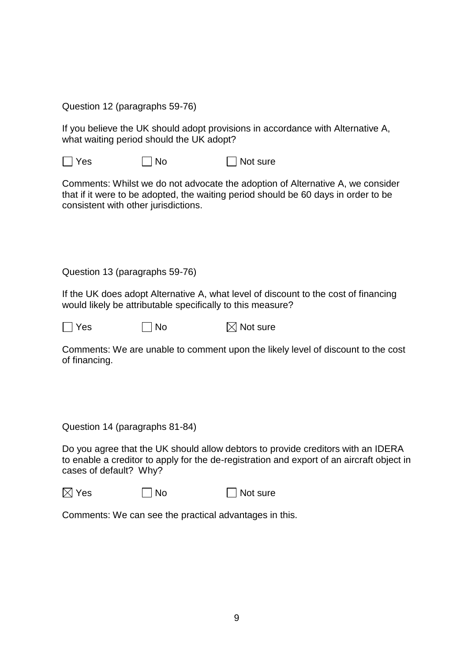Question 12 (paragraphs 59-76)

If you believe the UK should adopt provisions in accordance with Alternative A, what waiting period should the UK adopt?

 $\Box$  Yes  $\Box$  No  $\Box$  Not sure

Comments: Whilst we do not advocate the adoption of Alternative A, we consider that if it were to be adopted, the waiting period should be 60 days in order to be consistent with other jurisdictions.

Question 13 (paragraphs 59-76)

If the UK does adopt Alternative A, what level of discount to the cost of financing would likely be attributable specifically to this measure?

 $\Box$  Yes  $\Box$  No  $\boxtimes$  Not sure

Comments: We are unable to comment upon the likely level of discount to the cost of financing.

Question 14 (paragraphs 81-84)

Do you agree that the UK should allow debtors to provide creditors with an IDERA to enable a creditor to apply for the de-registration and export of an aircraft object in cases of default? Why?

 $\boxtimes$  Yes  $\Box$  No  $\Box$  Not sure

Comments: We can see the practical advantages in this.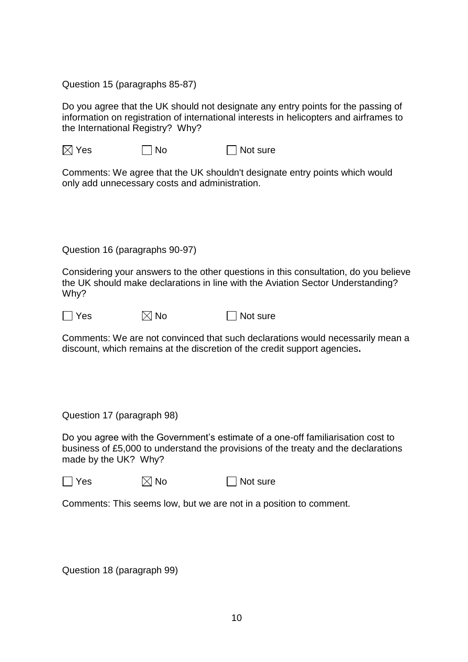Question 15 (paragraphs 85-87)

Do you agree that the UK should not designate any entry points for the passing of information on registration of international interests in helicopters and airframes to the International Registry? Why?

 $\boxtimes$  Yes  $\Box$  No  $\Box$  Not sure

Comments: We agree that the UK shouldn't designate entry points which would only add unnecessary costs and administration.

Question 16 (paragraphs 90-97)

Considering your answers to the other questions in this consultation, do you believe the UK should make declarations in line with the Aviation Sector Understanding? Why?

 $\Box$  Yes  $\boxtimes$  No  $\Box$  Not sure

Comments: We are not convinced that such declarations would necessarily mean a discount, which remains at the discretion of the credit support agencies**.**

Question 17 (paragraph 98)

Do you agree with the Government's estimate of a one-off familiarisation cost to business of £5,000 to understand the provisions of the treaty and the declarations made by the UK? Why?

 $\Box$  Yes  $\boxtimes$  No  $\Box$  Not sure

Comments: This seems low, but we are not in a position to comment.

Question 18 (paragraph 99)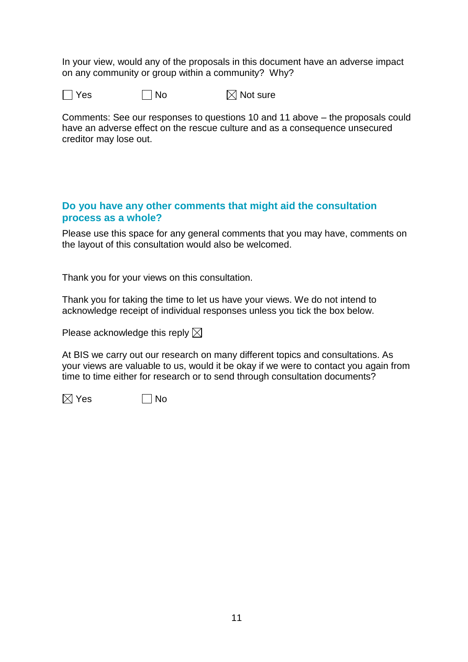In your view, would any of the proposals in this document have an adverse impact on any community or group within a community? Why?

 $\Box$  Yes  $\Box$  No  $\boxtimes$  Not sure

Comments: See our responses to questions 10 and 11 above – the proposals could have an adverse effect on the rescue culture and as a consequence unsecured creditor may lose out.

## **Do you have any other comments that might aid the consultation process as a whole?**

Please use this space for any general comments that you may have, comments on the layout of this consultation would also be welcomed.

Thank you for your views on this consultation.

Thank you for taking the time to let us have your views. We do not intend to acknowledge receipt of individual responses unless you tick the box below.

Please acknowledge this reply  $\boxtimes$ 

At BIS we carry out our research on many different topics and consultations. As your views are valuable to us, would it be okay if we were to contact you again from time to time either for research or to send through consultation documents?

 $\boxtimes$  Yes  $\Box$  No